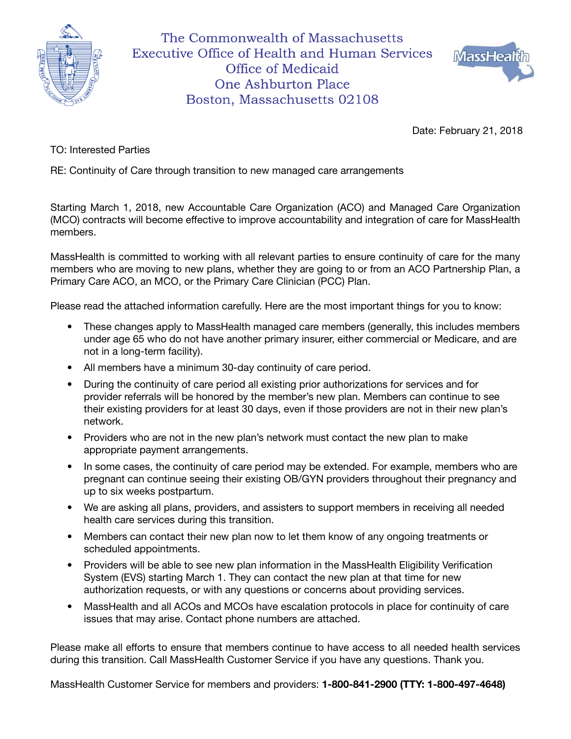

The Commonwealth of Massachusetts **Executive Office of Health and Human Services** Office of Medicaid **One Ashburton Place** Boston, Massachusetts 02108



Date: February 21, 2018

TO: Interested Parties

RE: Continuity of Care through transition to new managed care arrangements

Starting March 1, 2018, new Accountable Care Organization (ACO) and Managed Care Organization (MCO) contracts will become effective to improve accountability and integration of care for MassHealth members.

MassHealth is committed to working with all relevant parties to ensure continuity of care for the many members who are moving to new plans, whether they are going to or from an ACO Partnership Plan, a Primary Care ACO, an MCO, or the Primary Care Clinician (PCC) Plan.

Please read the attached information carefully. Here are the most important things for you to know:

- These changes apply to MassHealth managed care members (generally, this includes members under age 65 who do not have another primary insurer, either commercial or Medicare, and are not in a long-term facility).
- All members have a minimum 30-day continuity of care period.
- During the continuity of care period all existing prior authorizations for services and for provider referrals will be honored by the member's new plan. Members can continue to see their existing providers for at least 30 days, even if those providers are not in their new plan's network.
- Providers who are not in the new plan's network must contact the new plan to make appropriate payment arrangements.
- In some cases, the continuity of care period may be extended. For example, members who are pregnant can continue seeing their existing OB/GYN providers throughout their pregnancy and up to six weeks postpartum.
- We are asking all plans, providers, and assisters to support members in receiving all needed health care services during this transition.
- Members can contact their new plan now to let them know of any ongoing treatments or scheduled appointments.
- Providers will be able to see new plan information in the MassHealth Eligibility Verification System (EVS) starting March 1. They can contact the new plan at that time for new authorization requests, or with any questions or concerns about providing services.
- MassHealth and all ACOs and MCOs have escalation protocols in place for continuity of care issues that may arise. Contact phone numbers are attached.

Please make all efforts to ensure that members continue to have access to all needed health services during this transition. Call MassHealth Customer Service if you have any questions. Thank you.

MassHealth Customer Service for members and providers: 1-800-841-2900 (TTY: 1-800-497-4648)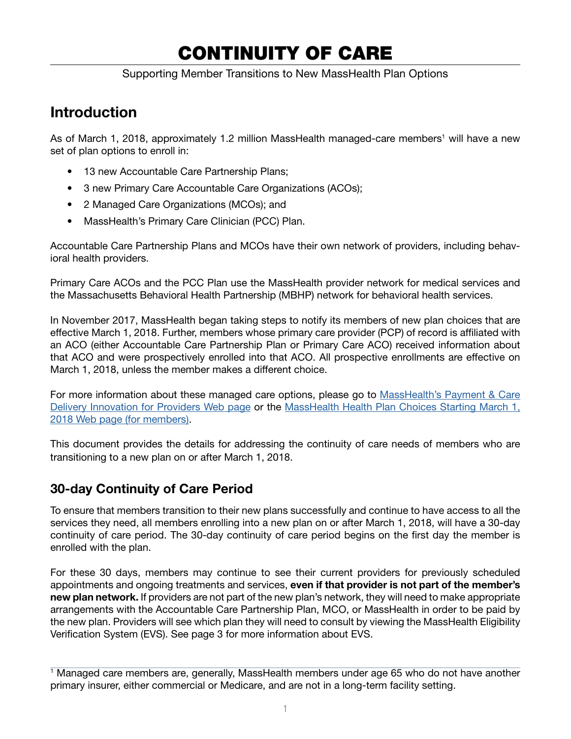# CONTINUITY OF CARE

Supporting Member Transitions to New MassHealth Plan Options

## Introduction

As of March 1, 2018, approximately 1.2 million MassHealth managed-care members<sup>1</sup> will have a new set of plan options to enroll in:

- 13 new Accountable Care Partnership Plans;
- 3 new Primary Care Accountable Care Organizations (ACOs);
- 2 Managed Care Organizations (MCOs); and
- MassHealth's Primary Care Clinician (PCC) Plan.

Accountable Care Partnership Plans and MCOs have their own network of providers, including behavioral health providers.

Primary Care ACOs and the PCC Plan use the MassHealth provider network for medical services and the Massachusetts Behavioral Health Partnership (MBHP) network for behavioral health services.

In November 2017, MassHealth began taking steps to notify its members of new plan choices that are effective March 1, 2018. Further, members whose primary care provider (PCP) of record is affiliated with an ACO (either Accountable Care Partnership Plan or Primary Care ACO) received information about that ACO and were prospectively enrolled into that ACO. All prospective enrollments are effective on March 1, 2018, unless the member makes a different choice.

For more information about these managed care options, please go to MassHealth's Payment & Care [Delivery Innovation for Providers Web page](https://www.mass.gov/payment-care-delivery-innovation-pcdi-for-providers) or the [MassHealth Health Plan Choices Starting March 1,](https://www.mass.gov/masshealth-health-plan-choices-starting-march-1-2018) [2018 Web page \(for members\).](https://www.mass.gov/masshealth-health-plan-choices-starting-march-1-2018)

This document provides the details for addressing the continuity of care needs of members who are transitioning to a new plan on or after March 1, 2018.

## 30-day Continuity of Care Period

To ensure that members transition to their new plans successfully and continue to have access to all the services they need, all members enrolling into a new plan on or after March 1, 2018, will have a 30-day continuity of care period. The 30-day continuity of care period begins on the first day the member is enrolled with the plan.

For these 30 days, members may continue to see their current providers for previously scheduled appointments and ongoing treatments and services, even if that provider is not part of the member's new plan network. If providers are not part of the new plan's network, they will need to make appropriate arrangements with the Accountable Care Partnership Plan, MCO, or MassHealth in order to be paid by the new plan. Providers will see which plan they will need to consult by viewing the MassHealth Eligibility Verification System (EVS). See page 3 for more information about EVS.

<sup>1</sup> Managed care members are, generally, MassHealth members under age 65 who do not have another primary insurer, either commercial or Medicare, and are not in a long-term facility setting.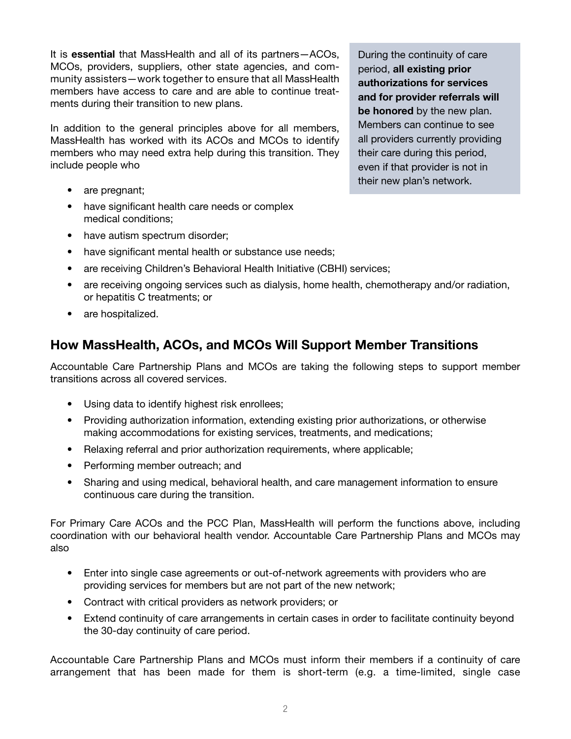It is essential that MassHealth and all of its partners-ACOs, MCOs, providers, suppliers, other state agencies, and community assisters—work together to ensure that all MassHealth members have access to care and are able to continue treatments during their transition to new plans.

In addition to the general principles above for all members, MassHealth has worked with its ACOs and MCOs to identify members who may need extra help during this transition. They include people who

- are pregnant;
- have significant health care needs or complex medical conditions;
- have autism spectrum disorder;
- have significant mental health or substance use needs;
- are receiving Children's Behavioral Health Initiative (CBHI) services;
- are receiving ongoing services such as dialysis, home health, chemotherapy and/or radiation, or hepatitis C treatments; or
- are hospitalized.

## How MassHealth, ACOs, and MCOs Will Support Member Transitions

Accountable Care Partnership Plans and MCOs are taking the following steps to support member transitions across all covered services.

- Using data to identify highest risk enrollees;
- Providing authorization information, extending existing prior authorizations, or otherwise making accommodations for existing services, treatments, and medications;
- Relaxing referral and prior authorization requirements, where applicable;
- Performing member outreach; and
- Sharing and using medical, behavioral health, and care management information to ensure continuous care during the transition.

For Primary Care ACOs and the PCC Plan, MassHealth will perform the functions above, including coordination with our behavioral health vendor. Accountable Care Partnership Plans and MCOs may also

- Enter into single case agreements or out-of-network agreements with providers who are providing services for members but are not part of the new network;
- Contract with critical providers as network providers; or
- Extend continuity of care arrangements in certain cases in order to facilitate continuity beyond the 30-day continuity of care period.

Accountable Care Partnership Plans and MCOs must inform their members if a continuity of care arrangement that has been made for them is short-term (e.g. a time-limited, single case

During the continuity of care period, all existing prior authorizations for services and for provider referrals will be honored by the new plan. Members can continue to see all providers currently providing their care during this period, even if that provider is not in their new plan's network.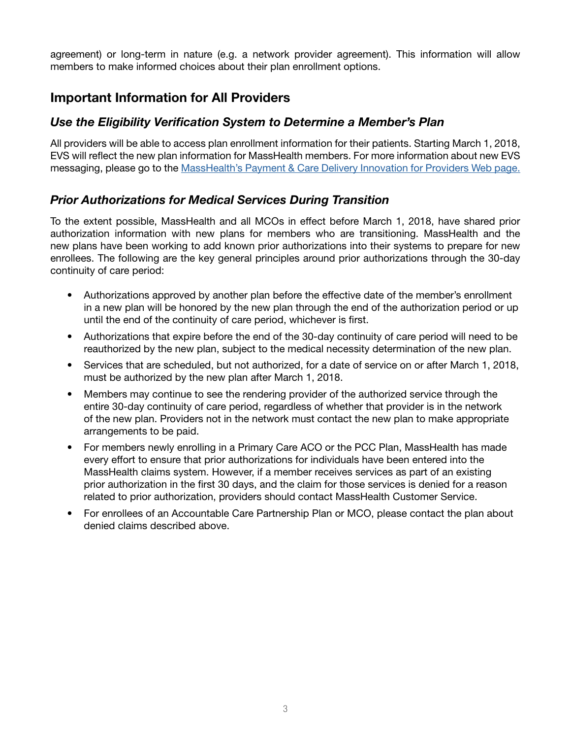agreement) or long-term in nature (e.g. a network provider agreement). This information will allow members to make informed choices about their plan enrollment options.

## Important Information for All Providers

#### *Use the Eligibility Verification System to Determine a Member's Plan*

All providers will be able to access plan enrollment information for their patients. Starting March 1, 2018, EVS will reflect the new plan information for MassHealth members. For more information about new EVS messaging, please go to the [MassHealth's Payment & Care Delivery Innovation for Providers Web page.](https://www.mass.gov/payment-care-delivery-innovation-pcdi-for-providers)

#### *Prior Authorizations for Medical Services During Transition*

To the extent possible, MassHealth and all MCOs in effect before March 1, 2018, have shared prior authorization information with new plans for members who are transitioning. MassHealth and the new plans have been working to add known prior authorizations into their systems to prepare for new enrollees. The following are the key general principles around prior authorizations through the 30-day continuity of care period:

- Authorizations approved by another plan before the effective date of the member's enrollment in a new plan will be honored by the new plan through the end of the authorization period or up until the end of the continuity of care period, whichever is first.
- Authorizations that expire before the end of the 30-day continuity of care period will need to be reauthorized by the new plan, subject to the medical necessity determination of the new plan.
- Services that are scheduled, but not authorized, for a date of service on or after March 1, 2018, must be authorized by the new plan after March 1, 2018.
- Members may continue to see the rendering provider of the authorized service through the entire 30-day continuity of care period, regardless of whether that provider is in the network of the new plan. Providers not in the network must contact the new plan to make appropriate arrangements to be paid.
- For members newly enrolling in a Primary Care ACO or the PCC Plan, MassHealth has made every effort to ensure that prior authorizations for individuals have been entered into the MassHealth claims system. However, if a member receives services as part of an existing prior authorization in the first 30 days, and the claim for those services is denied for a reason related to prior authorization, providers should contact MassHealth Customer Service.
- For enrollees of an Accountable Care Partnership Plan or MCO, please contact the plan about denied claims described above.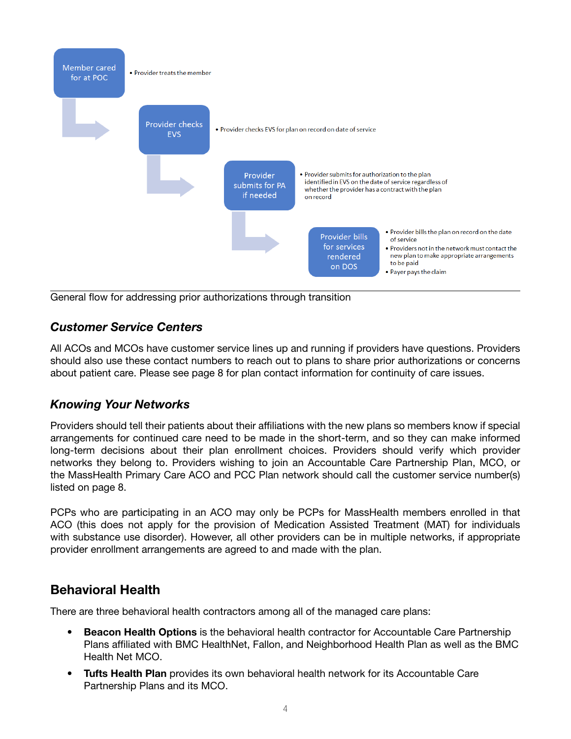

General flow for addressing prior authorizations through transition

#### *Customer Service Centers*

All ACOs and MCOs have customer service lines up and running if providers have questions. Providers should also use these contact numbers to reach out to plans to share prior authorizations or concerns about patient care. Please see page 8 for plan contact information for continuity of care issues.

#### *Knowing Your Networks*

Providers should tell their patients about their affiliations with the new plans so members know if special arrangements for continued care need to be made in the short-term, and so they can make informed long-term decisions about their plan enrollment choices. Providers should verify which provider networks they belong to. Providers wishing to join an Accountable Care Partnership Plan, MCO, or the MassHealth Primary Care ACO and PCC Plan network should call the customer service number(s) listed on page 8.

PCPs who are participating in an ACO may only be PCPs for MassHealth members enrolled in that ACO (this does not apply for the provision of Medication Assisted Treatment (MAT) for individuals with substance use disorder). However, all other providers can be in multiple networks, if appropriate provider enrollment arrangements are agreed to and made with the plan.

#### Behavioral Health

There are three behavioral health contractors among all of the managed care plans:

- Beacon Health Options is the behavioral health contractor for Accountable Care Partnership Plans affiliated with BMC HealthNet, Fallon, and Neighborhood Health Plan as well as the BMC Health Net MCO.
- Tufts Health Plan provides its own behavioral health network for its Accountable Care Partnership Plans and its MCO.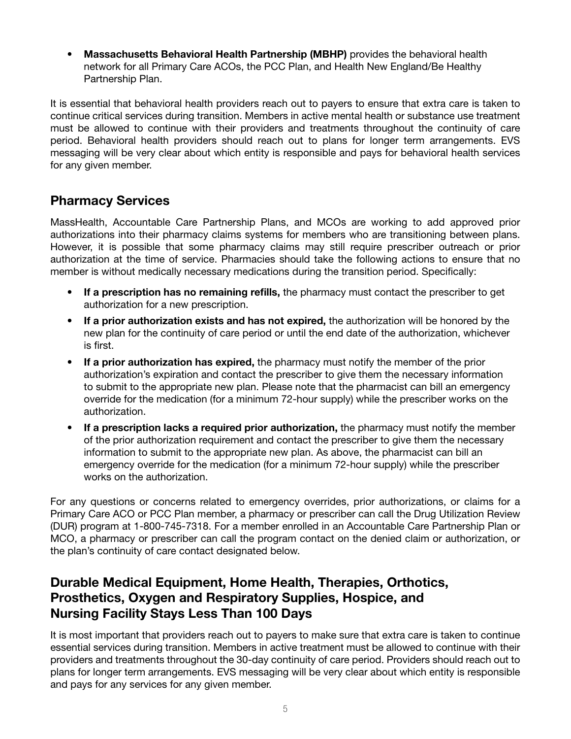• Massachusetts Behavioral Health Partnership (MBHP) provides the behavioral health network for all Primary Care ACOs, the PCC Plan, and Health New England/Be Healthy Partnership Plan.

It is essential that behavioral health providers reach out to payers to ensure that extra care is taken to continue critical services during transition. Members in active mental health or substance use treatment must be allowed to continue with their providers and treatments throughout the continuity of care period. Behavioral health providers should reach out to plans for longer term arrangements. EVS messaging will be very clear about which entity is responsible and pays for behavioral health services for any given member.

## Pharmacy Services

MassHealth, Accountable Care Partnership Plans, and MCOs are working to add approved prior authorizations into their pharmacy claims systems for members who are transitioning between plans. However, it is possible that some pharmacy claims may still require prescriber outreach or prior authorization at the time of service. Pharmacies should take the following actions to ensure that no member is without medically necessary medications during the transition period. Specifically:

- If a prescription has no remaining refills, the pharmacy must contact the prescriber to get authorization for a new prescription.
- If a prior authorization exists and has not expired, the authorization will be honored by the new plan for the continuity of care period or until the end date of the authorization, whichever is first.
- If a prior authorization has expired, the pharmacy must notify the member of the prior authorization's expiration and contact the prescriber to give them the necessary information to submit to the appropriate new plan. Please note that the pharmacist can bill an emergency override for the medication (for a minimum 72-hour supply) while the prescriber works on the authorization.
- If a prescription lacks a required prior authorization, the pharmacy must notify the member of the prior authorization requirement and contact the prescriber to give them the necessary information to submit to the appropriate new plan. As above, the pharmacist can bill an emergency override for the medication (for a minimum 72-hour supply) while the prescriber works on the authorization.

For any questions or concerns related to emergency overrides, prior authorizations, or claims for a Primary Care ACO or PCC Plan member, a pharmacy or prescriber can call the Drug Utilization Review (DUR) program at 1-800-745-7318. For a member enrolled in an Accountable Care Partnership Plan or MCO, a pharmacy or prescriber can call the program contact on the denied claim or authorization, or the plan's continuity of care contact designated below.

## Durable Medical Equipment, Home Health, Therapies, Orthotics, Prosthetics, Oxygen and Respiratory Supplies, Hospice, and Nursing Facility Stays Less Than 100 Days

It is most important that providers reach out to payers to make sure that extra care is taken to continue essential services during transition. Members in active treatment must be allowed to continue with their providers and treatments throughout the 30-day continuity of care period. Providers should reach out to plans for longer term arrangements. EVS messaging will be very clear about which entity is responsible and pays for any services for any given member.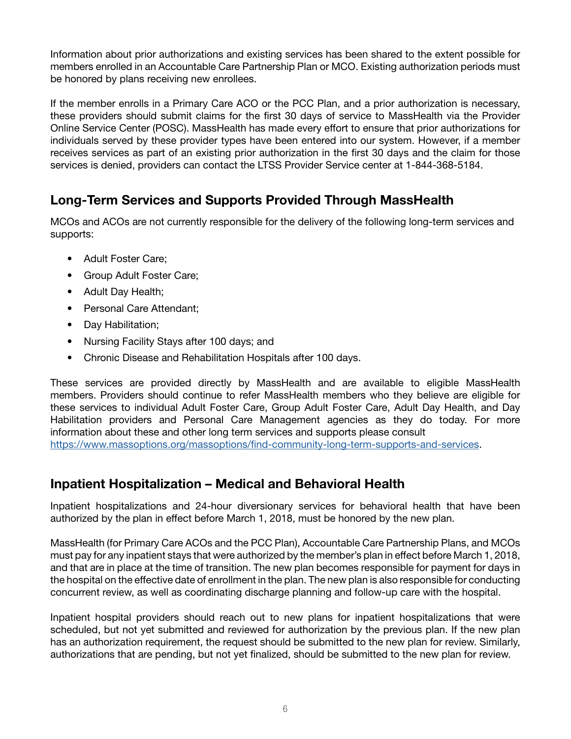Information about prior authorizations and existing services has been shared to the extent possible for members enrolled in an Accountable Care Partnership Plan or MCO. Existing authorization periods must be honored by plans receiving new enrollees.

If the member enrolls in a Primary Care ACO or the PCC Plan, and a prior authorization is necessary, these providers should submit claims for the first 30 days of service to MassHealth via the Provider Online Service Center (POSC). MassHealth has made every effort to ensure that prior authorizations for individuals served by these provider types have been entered into our system. However, if a member receives services as part of an existing prior authorization in the first 30 days and the claim for those services is denied, providers can contact the LTSS Provider Service center at 1-844-368-5184.

## Long-Term Services and Supports Provided Through MassHealth

MCOs and ACOs are not currently responsible for the delivery of the following long-term services and supports:

- Adult Foster Care;
- Group Adult Foster Care;
- Adult Day Health;
- Personal Care Attendant;
- Day Habilitation;
- Nursing Facility Stays after 100 days; and
- Chronic Disease and Rehabilitation Hospitals after 100 days.

These services are provided directly by MassHealth and are available to eligible MassHealth members. Providers should continue to refer MassHealth members who they believe are eligible for these services to individual Adult Foster Care, Group Adult Foster Care, Adult Day Health, and Day Habilitation providers and Personal Care Management agencies as they do today. For more information about these and other long term services and supports please consult

[https://www.massoptions.org/massoptions/find-community-long-term-supports-and-services.](https://www.massoptions.org/massoptions/find-community-long-term-supports-and-services/)

## Inpatient Hospitalization – Medical and Behavioral Health

Inpatient hospitalizations and 24-hour diversionary services for behavioral health that have been authorized by the plan in effect before March 1, 2018, must be honored by the new plan.

MassHealth (for Primary Care ACOs and the PCC Plan), Accountable Care Partnership Plans, and MCOs must pay for any inpatient stays that were authorized by the member's plan in effect before March 1, 2018, and that are in place at the time of transition. The new plan becomes responsible for payment for days in the hospital on the effective date of enrollment in the plan. The new plan is also responsible for conducting concurrent review, as well as coordinating discharge planning and follow-up care with the hospital.

Inpatient hospital providers should reach out to new plans for inpatient hospitalizations that were scheduled, but not yet submitted and reviewed for authorization by the previous plan. If the new plan has an authorization requirement, the request should be submitted to the new plan for review. Similarly, authorizations that are pending, but not yet finalized, should be submitted to the new plan for review.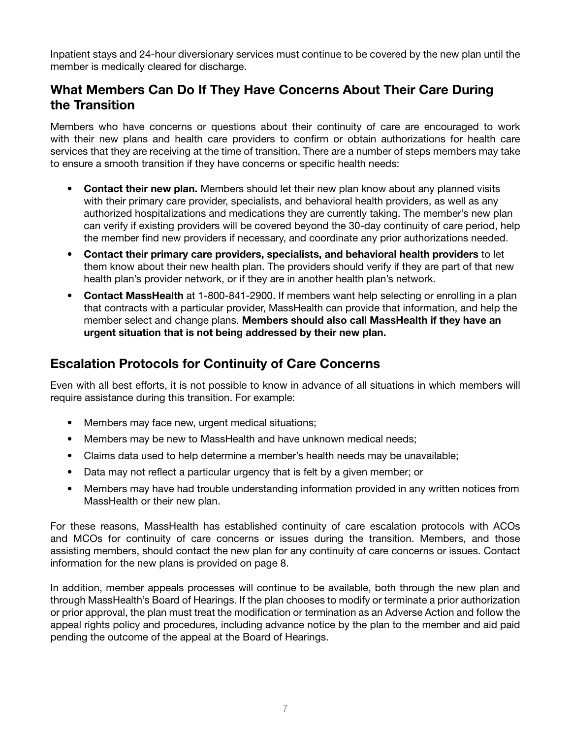Inpatient stays and 24-hour diversionary services must continue to be covered by the new plan until the member is medically cleared for discharge.

## What Members Can Do If They Have Concerns About Their Care During the Transition

Members who have concerns or questions about their continuity of care are encouraged to work with their new plans and health care providers to confirm or obtain authorizations for health care services that they are receiving at the time of transition. There are a number of steps members may take to ensure a smooth transition if they have concerns or specific health needs:

- Contact their new plan. Members should let their new plan know about any planned visits with their primary care provider, specialists, and behavioral health providers, as well as any authorized hospitalizations and medications they are currently taking. The member's new plan can verify if existing providers will be covered beyond the 30-day continuity of care period, help the member find new providers if necessary, and coordinate any prior authorizations needed.
- Contact their primary care providers, specialists, and behavioral health providers to let them know about their new health plan. The providers should verify if they are part of that new health plan's provider network, or if they are in another health plan's network.
- Contact MassHealth at 1-800-841-2900. If members want help selecting or enrolling in a plan that contracts with a particular provider, MassHealth can provide that information, and help the member select and change plans. Members should also call MassHealth if they have an urgent situation that is not being addressed by their new plan.

## Escalation Protocols for Continuity of Care Concerns

Even with all best efforts, it is not possible to know in advance of all situations in which members will require assistance during this transition. For example:

- Members may face new, urgent medical situations;
- Members may be new to MassHealth and have unknown medical needs;
- Claims data used to help determine a member's health needs may be unavailable;
- Data may not reflect a particular urgency that is felt by a given member; or
- Members may have had trouble understanding information provided in any written notices from MassHealth or their new plan.

For these reasons, MassHealth has established continuity of care escalation protocols with ACOs and MCOs for continuity of care concerns or issues during the transition. Members, and those assisting members, should contact the new plan for any continuity of care concerns or issues. Contact information for the new plans is provided on page 8.

In addition, member appeals processes will continue to be available, both through the new plan and through MassHealth's Board of Hearings. If the plan chooses to modify or terminate a prior authorization or prior approval, the plan must treat the modification or termination as an Adverse Action and follow the appeal rights policy and procedures, including advance notice by the plan to the member and aid paid pending the outcome of the appeal at the Board of Hearings.